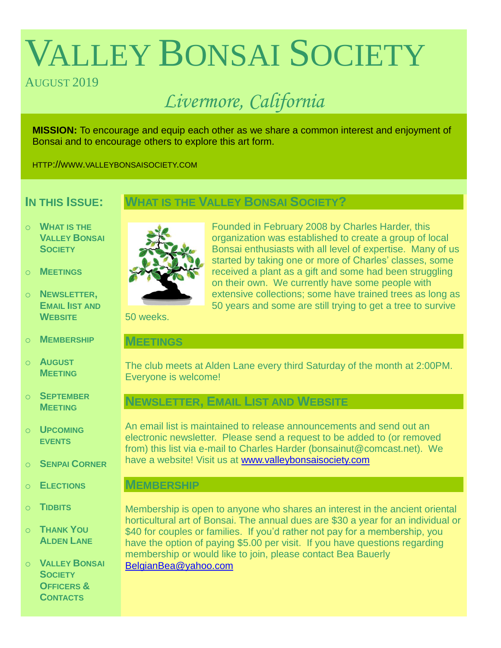# VALLEY BONSAI SOCIETY

#### AUGUST 2019

## *Livermore, California*

**MISSION:** To encourage and equip each other as we share a common interest and enjoyment of Bonsai and to encourage others to explore this art form.

HTTP://WWW.VALLEYBONSAISOCIETY.COM

### **IN THIS ISSUE:**

#### **WHAT IS THE VALLEY BONSAI SOCIETY?**

- o **WHAT IS THE VALLEY BONSAI SOCIETY**
- o **MEETINGS**
- o **NEWSLETTER, EMAIL IIST AND WEBSITE**
- o **MEMBERSHIP**
- o **AUGUST MEETING**
- o **SEPTEMBER MEETING**
- o **UPCOMING EVENTS**
- o **SENPAI CORNER**
- o **ELECTIONS**
- o **TIDBITS**
- o **THANK YOU ALDEN LANE**

o **VALLEY BONSAI SOCIETY OFFICERS & CONTACTS**



Founded in February 2008 by Charles Harder, this organization was established to create a group of local Bonsai enthusiasts with all level of expertise. Many of us started by taking one or more of Charles' classes, some received a plant as a gift and some had been struggling on their own. We currently have some people with extensive collections; some have trained trees as long as 50 years and some are still trying to get a tree to survive

50 weeks.

#### **MEETINGS**

The club meets at Alden Lane every third Saturday of the month at 2:00PM. Everyone is welcome!

#### **NEWSLETTER, EMAIL LIST AND WEBSITE**

An email list is maintained to release announcements and send out an electronic newsletter. Please send a request to be added to (or removed from) this list via e-mail to Charles Harder (bonsainut@comcast.net). We have a website! Visit us at [www.valleybonsaisociety.com](http://www.valleybonsaisociety.com/)

#### **MEMBERSHIP**

Membership is open to anyone who shares an interest in the ancient oriental horticultural art of Bonsai. The annual dues are \$30 a year for an individual or \$40 for couples or families. If you'd rather not pay for a membership, you have the option of paying \$5.00 per visit. If you have questions regarding membership or would like to join, please contact Bea Bauerly [BelgianBea@yahoo.com](mailto:BelgianBea@yahoo.com)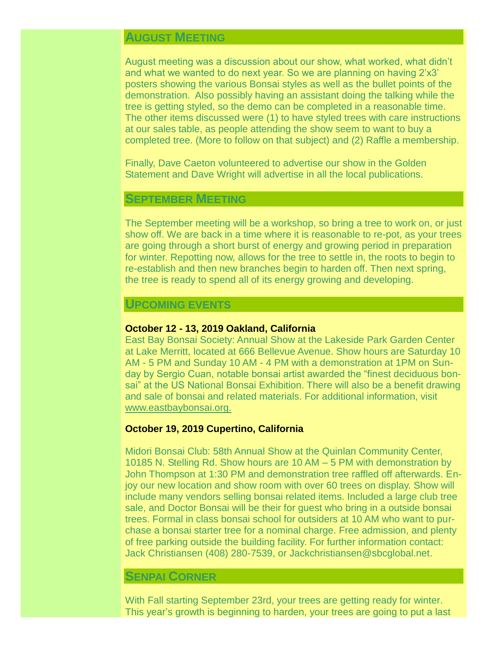#### **AUGUST MEETING**

August meeting was a discussion about our show, what worked, what didn't and what we wanted to do next year. So we are planning on having 2'x3' posters showing the various Bonsai styles as well as the bullet points of the demonstration. Also possibly having an assistant doing the talking while the tree is getting styled, so the demo can be completed in a reasonable time. The other items discussed were (1) to have styled trees with care instructions at our sales table, as people attending the show seem to want to buy a completed tree. (More to follow on that subject) and (2) Raffle a membership.

Finally, Dave Caeton volunteered to advertise our show in the Golden Statement and Dave Wright will advertise in all the local publications.

#### **SEPTEMBER MEETING**

The September meeting will be a workshop, so bring a tree to work on, or just show off. We are back in a time where it is reasonable to re-pot, as your trees are going through a short burst of energy and growing period in preparation for winter. Repotting now, allows for the tree to settle in, the roots to begin to re-establish and then new branches begin to harden off. Then next spring, the tree is ready to spend all of its energy growing and developing.

#### **UPCOMING EVENTS**

#### **October 12 - 13, 2019 Oakland, California**

East Bay Bonsai Society: Annual Show at the Lakeside Park Garden Center at Lake Merritt, located at 666 Bellevue Avenue. Show hours are Saturday 10 AM - 5 PM and Sunday 10 AM - 4 PM with a demonstration at 1PM on Sunday by Sergio Cuan, notable bonsai artist awarded the "finest deciduous bonsai" at the US National Bonsai Exhibition. There will also be a benefit drawing and sale of bonsai and related materials. For additional information, visit [www.eastbaybonsai.org.](http://www.eastbaybonsai.org./)

#### **October 19, 2019 Cupertino, California**

Midori Bonsai Club: 58th Annual Show at the Quinlan Community Center, 10185 N. Stelling Rd. Show hours are 10 AM – 5 PM with demonstration by John Thompson at 1:30 PM and demonstration tree raffled off afterwards. Enjoy our new location and show room with over 60 trees on display. Show will include many vendors selling bonsai related items. Included a large club tree sale, and Doctor Bonsai will be their for guest who bring in a outside bonsai trees. Formal in class bonsai school for outsiders at 10 AM who want to purchase a bonsai starter tree for a nominal charge. Free admission, and plenty of free parking outside the building facility. For further information contact: Jack Christiansen (408) 280-7539, or Jackchristiansen@sbcglobal.net.

#### **SENPAI CORNER**

With Fall starting September 23rd, your trees are getting ready for winter. This year's growth is beginning to harden, your trees are going to put a last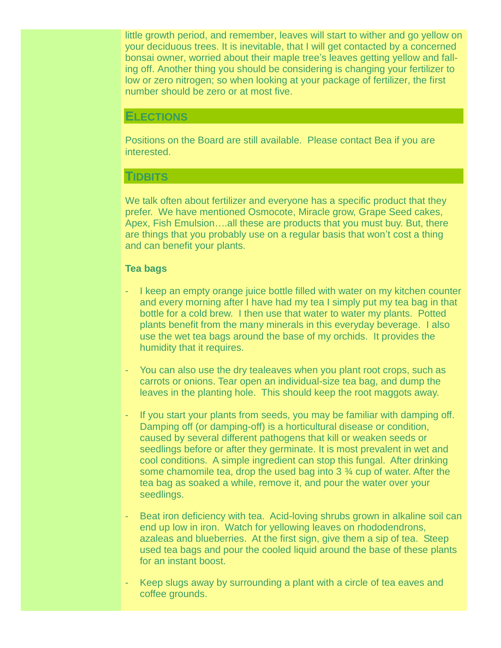little growth period, and remember, leaves will start to wither and go yellow on your deciduous trees. It is inevitable, that I will get contacted by a concerned bonsai owner, worried about their maple tree's leaves getting yellow and falling off. Another thing you should be considering is changing your fertilizer to low or zero nitrogen; so when looking at your package of fertilizer, the first number should be zero or at most five.

#### **ELECTIONS**

Positions on the Board are still available. Please contact Bea if you are interested.

#### **TIDBITS**

We talk often about fertilizer and everyone has a specific product that they prefer. We have mentioned Osmocote, Miracle grow, Grape Seed cakes, Apex, Fish Emulsion….all these are products that you must buy. But, there are things that you probably use on a regular basis that won't cost a thing and can benefit your plants.

#### **Tea bags**

- I keep an empty orange juice bottle filled with water on my kitchen counter and every morning after I have had my tea I simply put my tea bag in that bottle for a cold brew. I then use that water to water my plants. Potted plants benefit from the many minerals in this everyday beverage. I also use the wet tea bags around the base of my orchids. It provides the humidity that it requires.
- You can also use the dry tealeaves when you plant root crops, such as carrots or onions. Tear open an individual-size tea bag, and dump the leaves in the planting hole. This should keep the root maggots away.
- If you start your plants from seeds, you may be familiar with damping off. Damping off (or damping-off) is a horticultural disease or condition, caused by several different pathogens that kill or weaken seeds or seedlings before or after they germinate. It is most prevalent in wet and cool conditions. A simple ingredient can stop this fungal. After drinking some chamomile tea, drop the used bag into 3 ¾ cup of water. After the tea bag as soaked a while, remove it, and pour the water over your seedlings.
- Beat iron deficiency with tea. Acid-loving shrubs grown in alkaline soil can end up low in iron. Watch for yellowing leaves on rhododendrons, azaleas and blueberries. At the first sign, give them a sip of tea. Steep used tea bags and pour the cooled liquid around the base of these plants for an instant boost.
- Keep slugs away by surrounding a plant with a circle of tea eaves and coffee grounds.